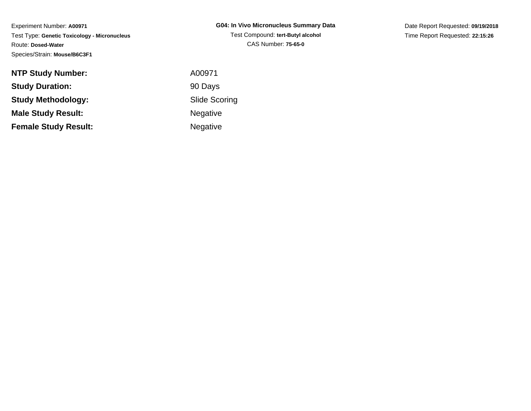Experiment Number: **A00971** Test Type: **Genetic Toxicology - Micronucleus**Route: **Dosed-Water**Species/Strain: **Mouse/B6C3F1**

| G04: In Vivo Micronucleus Summary Data |
|----------------------------------------|
| Test Compound: tert-Butyl alcohol      |
| CAS Number: 75-65-0                    |

Date Report Requested: **09/19/2018**Time Report Requested: **22:15:26**

| <b>NTP Study Number:</b>    | A00971          |
|-----------------------------|-----------------|
| <b>Study Duration:</b>      | 90 Days         |
| <b>Study Methodology:</b>   | Slide Sco       |
| <b>Male Study Result:</b>   | Negative        |
| <b>Female Study Result:</b> | <b>Negative</b> |

Scoring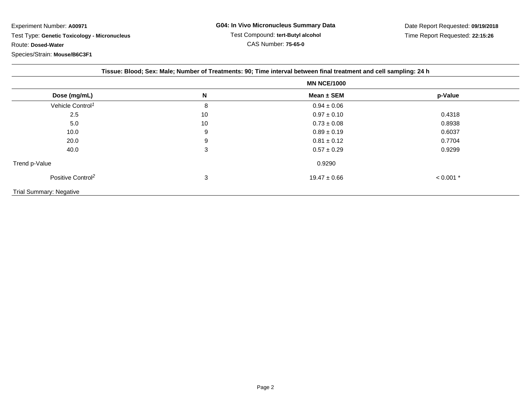Experiment Number: **A00971** Test Type: **Genetic Toxicology - Micronucleus**Route: **Dosed-Water**Species/Strain: **Mouse/B6C3F1**

| Tissue: Blood; Sex: Male; Number of Treatments: 90; Time interval between final treatment and cell sampling: 24 h |    |                    |             |  |  |  |
|-------------------------------------------------------------------------------------------------------------------|----|--------------------|-------------|--|--|--|
|                                                                                                                   |    | <b>MN NCE/1000</b> |             |  |  |  |
| Dose (mg/mL)                                                                                                      | N  | Mean ± SEM         | p-Value     |  |  |  |
| Vehicle Control <sup>1</sup>                                                                                      | 8  | $0.94 \pm 0.06$    |             |  |  |  |
| 2.5                                                                                                               | 10 | $0.97 \pm 0.10$    | 0.4318      |  |  |  |
| 5.0                                                                                                               | 10 | $0.73 \pm 0.08$    | 0.8938      |  |  |  |
| 10.0                                                                                                              | 9  | $0.89 \pm 0.19$    | 0.6037      |  |  |  |
| 20.0                                                                                                              | 9  | $0.81 \pm 0.12$    | 0.7704      |  |  |  |
| 40.0                                                                                                              | 3  | $0.57 \pm 0.29$    | 0.9299      |  |  |  |
| Trend p-Value                                                                                                     |    | 0.9290             |             |  |  |  |
| Positive Control <sup>2</sup>                                                                                     | 3  | $19.47 \pm 0.66$   | $< 0.001$ * |  |  |  |
| Trial Summary: Negative                                                                                           |    |                    |             |  |  |  |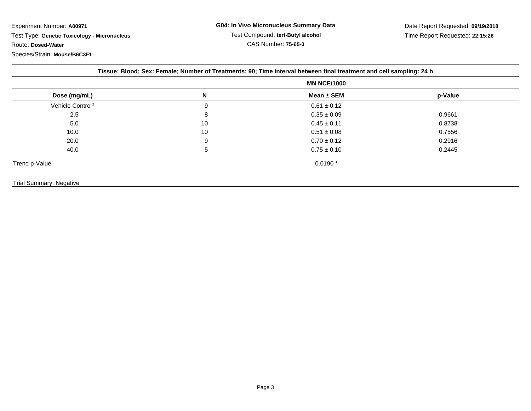Experiment Number: **A00971** Test Type: **Genetic Toxicology - Micronucleus**Route: **Dosed-Water**

## Species/Strain: **Mouse/B6C3F1**

| Tissue: Blood; Sex: Female; Number of Treatments: 90; Time interval between final treatment and cell sampling: 24 h |    |                    |         |  |  |  |
|---------------------------------------------------------------------------------------------------------------------|----|--------------------|---------|--|--|--|
| Dose (mg/mL)                                                                                                        |    | <b>MN NCE/1000</b> |         |  |  |  |
|                                                                                                                     | N  | Mean ± SEM         | p-Value |  |  |  |
| Vehicle Control <sup>1</sup>                                                                                        | 9  | $0.61 \pm 0.12$    |         |  |  |  |
| 2.5                                                                                                                 | 8  | $0.35 \pm 0.09$    | 0.9661  |  |  |  |
| 5.0                                                                                                                 | 10 | $0.45 \pm 0.11$    | 0.8738  |  |  |  |
| 10.0                                                                                                                | 10 | $0.51 \pm 0.08$    | 0.7556  |  |  |  |
| 20.0                                                                                                                | 9  | $0.70 \pm 0.12$    | 0.2916  |  |  |  |
| 40.0                                                                                                                | 5  | $0.75 \pm 0.10$    | 0.2445  |  |  |  |
| Trend p-Value                                                                                                       |    | $0.0190*$          |         |  |  |  |
| <b>Trial Summary: Negative</b>                                                                                      |    |                    |         |  |  |  |